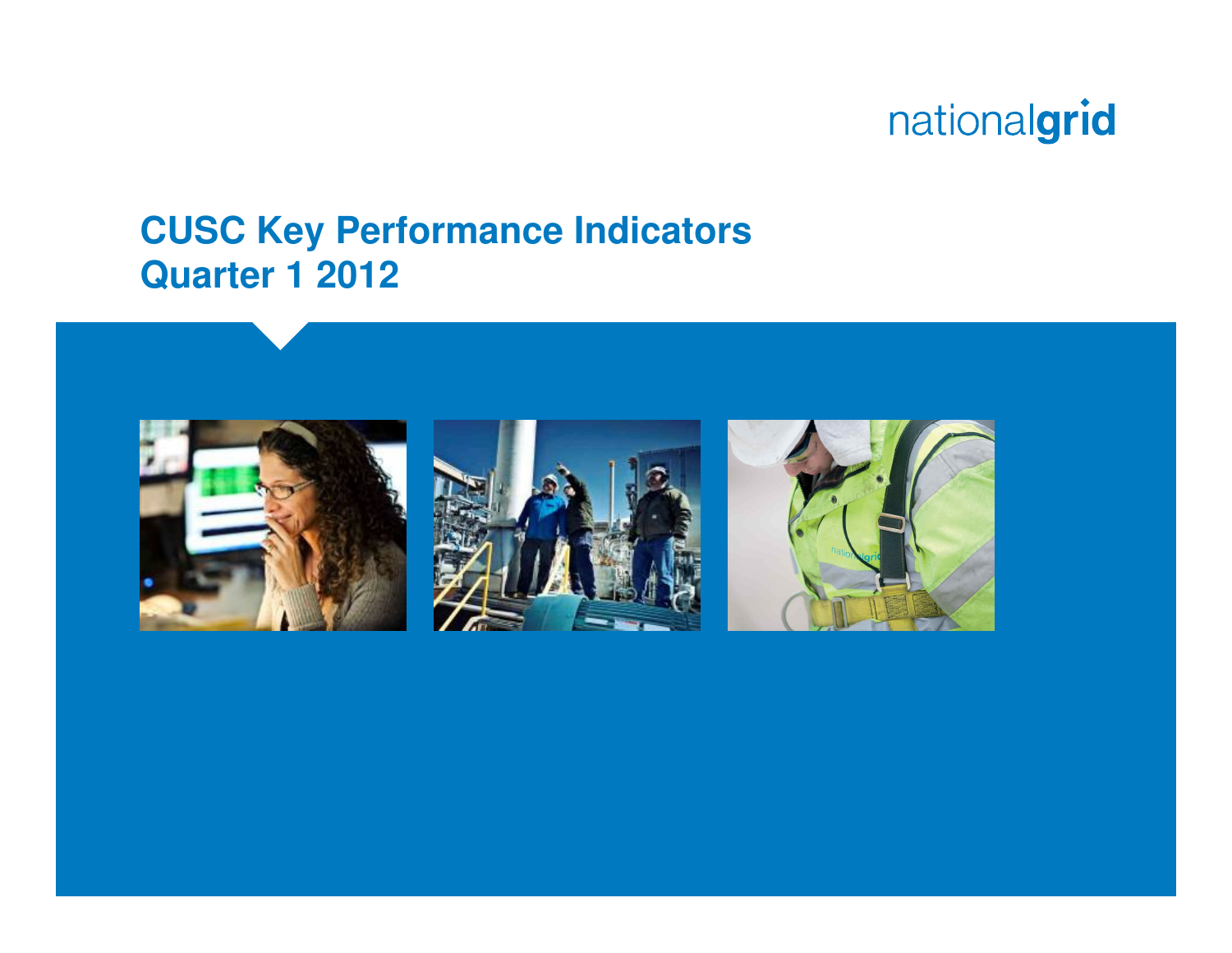#### **CUSC Key Performance IndicatorsQuarter 1 2012**





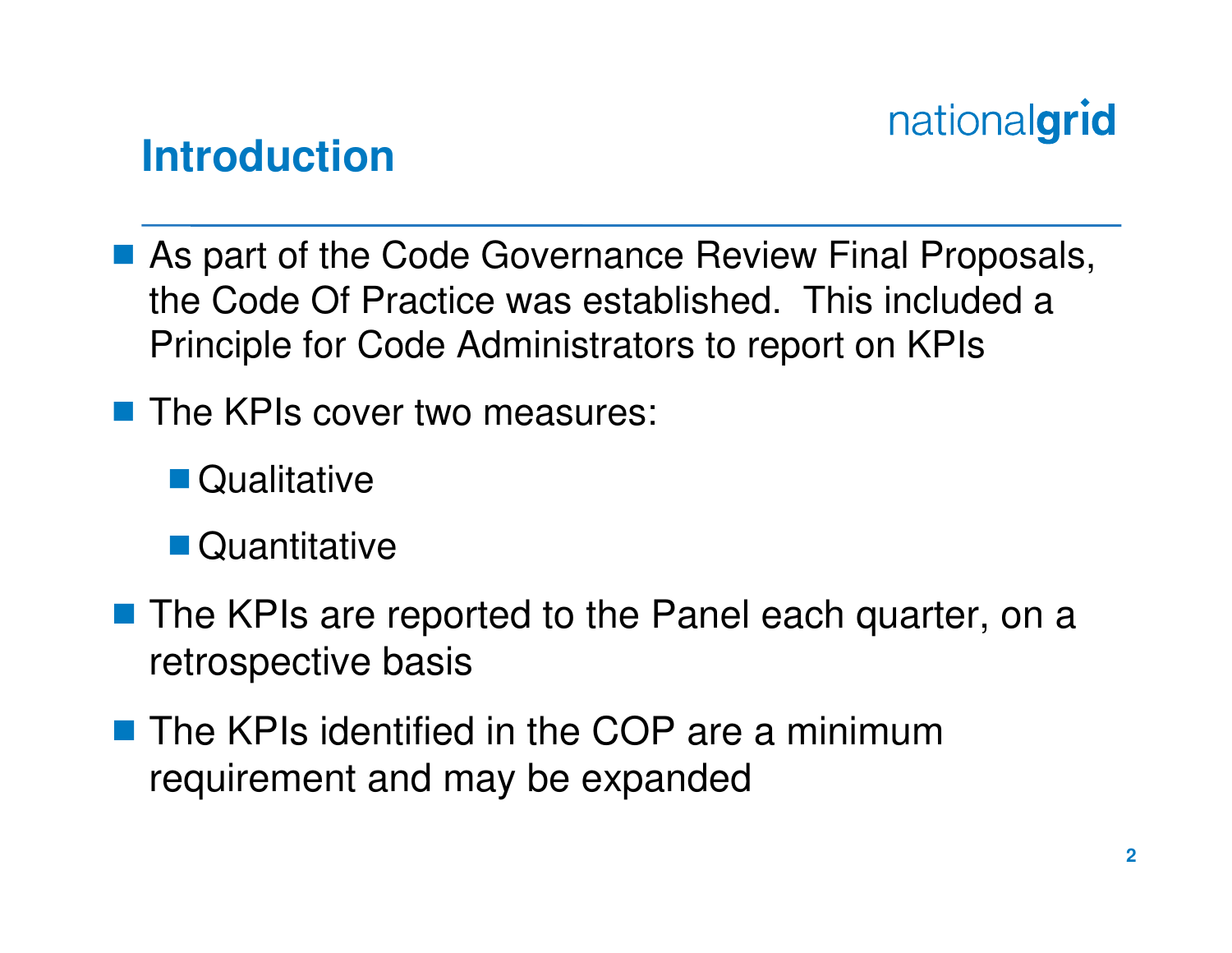

#### **Introduction**

- As part of the Code Governance Review Final Proposals,<br>the Code Of Practice was established. This included a the Code Of Practice was established. This included a Principle for Code Administrators to report on KPIs
- The KPIs cover two measures:
	- **Oualitative**
	- Quantitative
- The KPIs are reported to the Panel each quarter, on a<br>retrespective basis retrospective basis
- The KPIs identified in the COP are a minimum<br>requirement and may be expanded requirement and may be expanded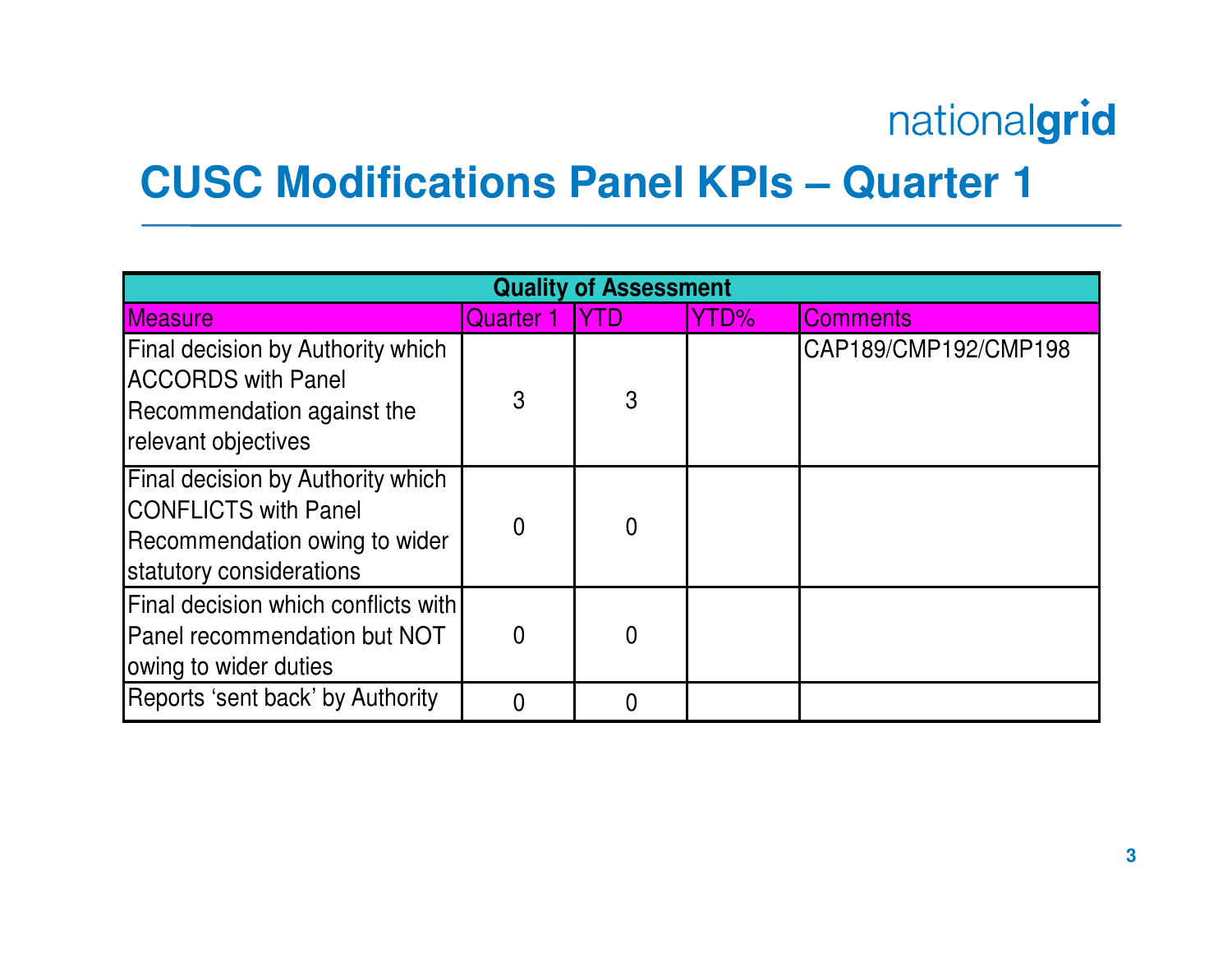### **CUSC Modifications Panel KPIs – Quarter 1**

| <b>Quality of Assessment</b>                                                                                                  |                |             |      |                      |  |
|-------------------------------------------------------------------------------------------------------------------------------|----------------|-------------|------|----------------------|--|
| <b>Measure</b>                                                                                                                | Quarter 1      | <b>IYTD</b> | YTD% | <b>Comments</b>      |  |
| Final decision by Authority which<br><b>ACCORDS with Panel</b><br>Recommendation against the<br>relevant objectives           | 3              | 3           |      | CAP189/CMP192/CMP198 |  |
| Final decision by Authority which<br><b>CONFLICTS with Panel</b><br>Recommendation owing to wider<br>statutory considerations | $\overline{0}$ | $\Omega$    |      |                      |  |
| Final decision which conflicts with<br><b>Panel recommendation but NOT</b><br>owing to wider duties                           | $\overline{0}$ | $\Omega$    |      |                      |  |
| Reports 'sent back' by Authority                                                                                              | $\Omega$       |             |      |                      |  |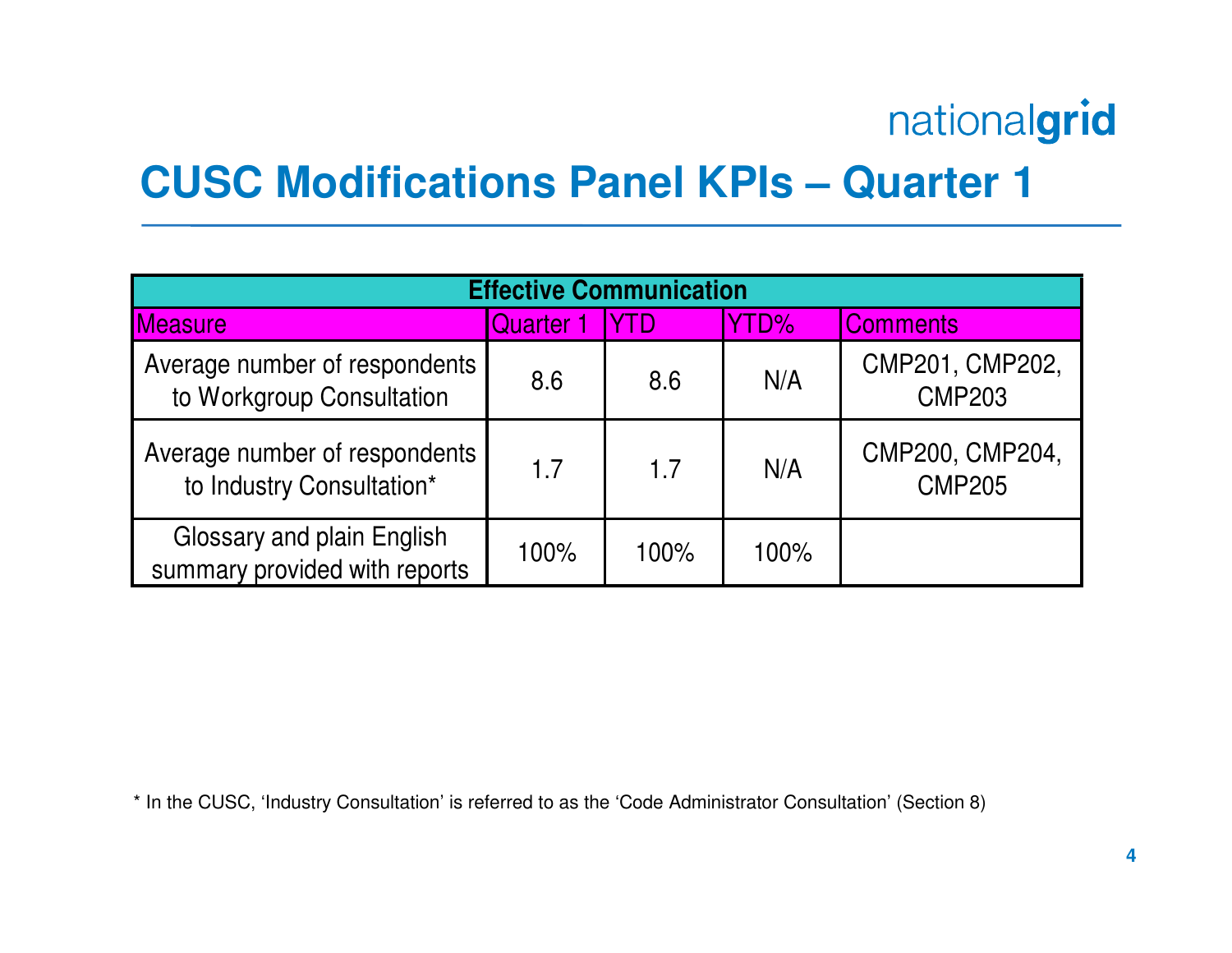### **CUSC Modifications Panel KPIs – Quarter 1**

| <b>Effective Communication</b>                              |           |             |      |                                  |  |  |
|-------------------------------------------------------------|-----------|-------------|------|----------------------------------|--|--|
| <b>Measure</b>                                              | Quarter 1 | <b>IYTD</b> | YTD% | <b>Comments</b>                  |  |  |
| Average number of respondents<br>to Workgroup Consultation  | 8.6       | 8.6         | N/A  | CMP201, CMP202,<br><b>CMP203</b> |  |  |
| Average number of respondents<br>to Industry Consultation*  | 1.7       | 1.7         | N/A  | CMP200, CMP204,<br><b>CMP205</b> |  |  |
| Glossary and plain English<br>summary provided with reports | 100%      | 100%        | 100% |                                  |  |  |

\* In the CUSC, 'Industry Consultation' is referred to as the 'Code Administrator Consultation' (Section 8)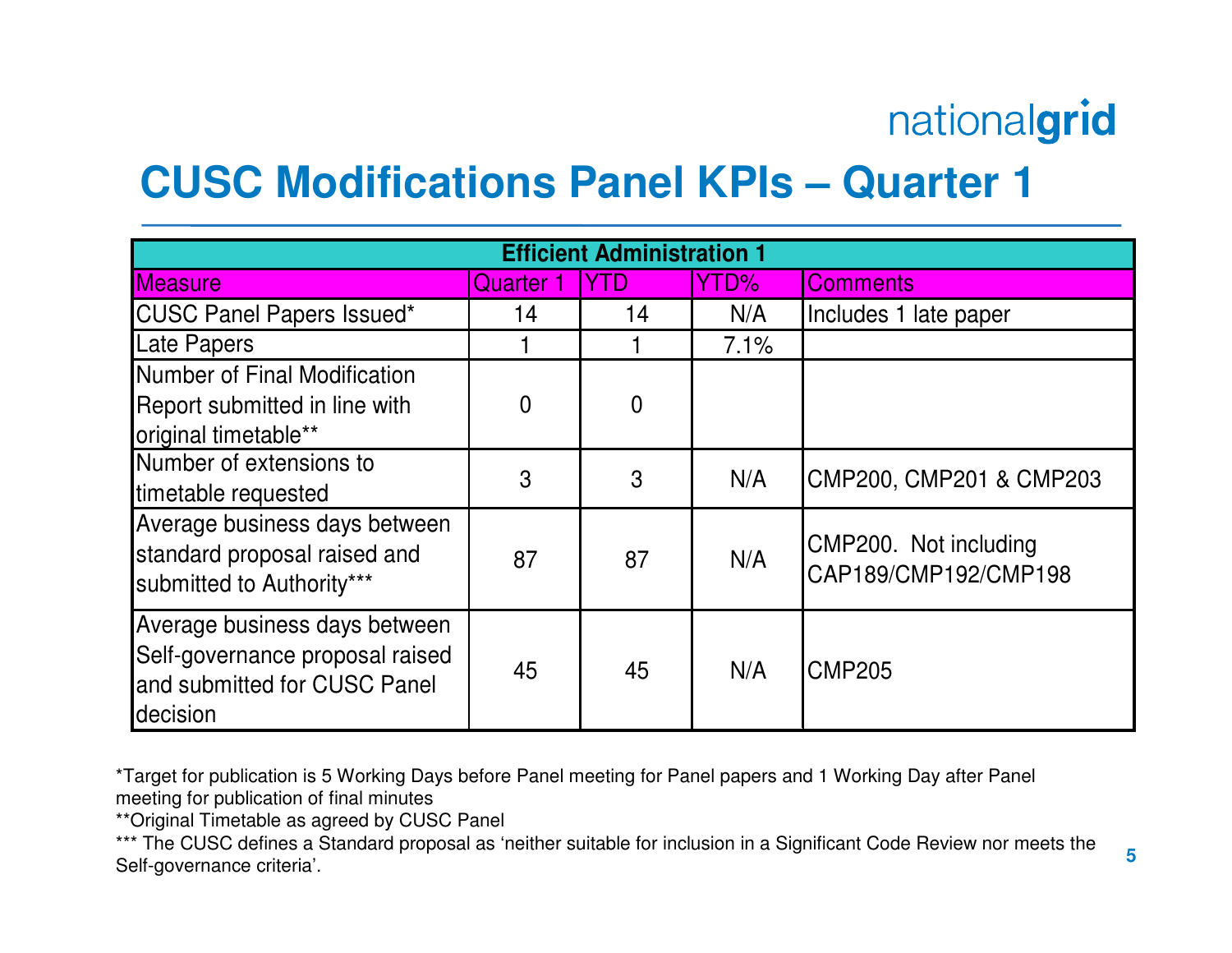### **CUSC Modifications Panel KPIs – Quarter 1**

| <b>Efficient Administration 1</b>                                                                            |           |                |      |                                               |  |
|--------------------------------------------------------------------------------------------------------------|-----------|----------------|------|-----------------------------------------------|--|
| <b>Measure</b>                                                                                               | Quarter 1 | IYTD           | YTD% | <b>IComments</b>                              |  |
| <b>CUSC Panel Papers Issued*</b>                                                                             | 14        | 14             | N/A  | Includes 1 late paper                         |  |
| <b>Late Papers</b>                                                                                           |           |                | 7.1% |                                               |  |
| Number of Final Modification<br>Report submitted in line with<br>original timetable**                        | 0         | $\overline{0}$ |      |                                               |  |
| Number of extensions to<br>timetable requested                                                               | 3         | 3              | N/A  | CMP200, CMP201 & CMP203                       |  |
| Average business days between<br>standard proposal raised and<br>submitted to Authority***                   | 87        | 87             | N/A  | CMP200. Not including<br>CAP189/CMP192/CMP198 |  |
| Average business days between<br>Self-governance proposal raised<br>and submitted for CUSC Panel<br>decision | 45        | 45             | N/A  | <b>CMP205</b>                                 |  |

\*Target for publication is 5 Working Days before Panel meeting for Panel papers and 1 Working Day after Panel meeting for publication of final minutes

\*\*Original Timetable as agreed by CUSC Panel

\*\*\* The CUSC defines a Standard proposal as 'neither suitable for inclusion in a Significant Code Review nor meets the Self-governance criteria'.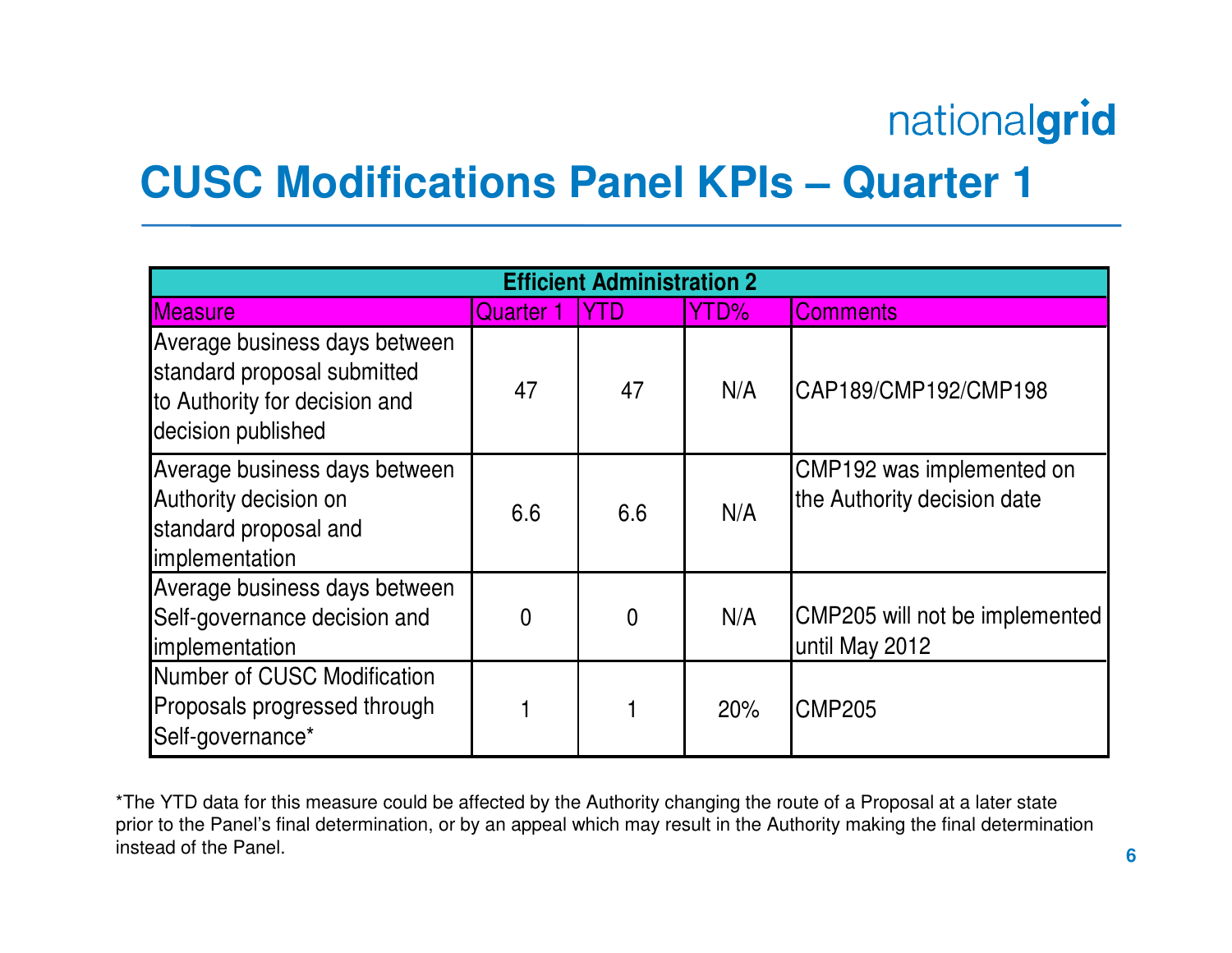#### **CUSC Modifications Panel KPIs – Quarter 1**

| <b>Efficient Administration 2</b>                                                                                   |                |                |      |                                                          |  |  |
|---------------------------------------------------------------------------------------------------------------------|----------------|----------------|------|----------------------------------------------------------|--|--|
| <b>Measure</b>                                                                                                      | Quarter 1      | <b>IYTD</b>    | YTD% | <b>Comments</b>                                          |  |  |
| Average business days between<br>standard proposal submitted<br>to Authority for decision and<br>decision published | 47             | 47             | N/A  | CAP189/CMP192/CMP198                                     |  |  |
| Average business days between<br>Authority decision on<br>standard proposal and<br>implementation                   | 6.6            | 6.6            | N/A  | CMP192 was implemented on<br>the Authority decision date |  |  |
| Average business days between<br>Self-governance decision and<br>implementation                                     | $\overline{0}$ | $\overline{0}$ | N/A  | CMP205 will not be implemented<br>until May 2012         |  |  |
| Number of CUSC Modification<br>Proposals progressed through<br>Self-governance*                                     |                |                | 20%  | <b>CMP205</b>                                            |  |  |

\*The YTD data for this measure could be affected by the Authority changing the route of a Proposal at a later state prior to the Panel's final determination, or by an appeal which may result in the Authority making the final determination instead of the Panel.